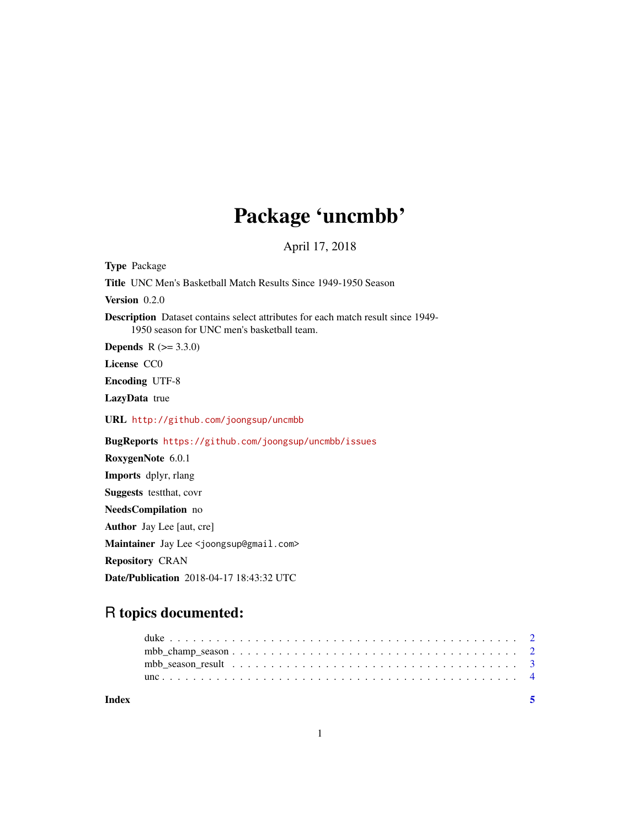## Package 'uncmbb'

April 17, 2018

| <b>Type Package</b>                                                                                                                   |
|---------------------------------------------------------------------------------------------------------------------------------------|
| <b>Title</b> UNC Men's Basketball Match Results Since 1949-1950 Season                                                                |
| <b>Version</b> $0.2.0$                                                                                                                |
| <b>Description</b> Dataset contains select attributes for each match result since 1949-<br>1950 season for UNC men's basketball team. |
| <b>Depends</b> $R (= 3.3.0)$                                                                                                          |
| License CCO                                                                                                                           |
| <b>Encoding UTF-8</b>                                                                                                                 |
| LazyData true                                                                                                                         |
| URL http://github.com/joongsup/uncmbb                                                                                                 |
| <b>BugReports</b> https://github.com/joongsup/uncmbb/issues                                                                           |
| RoxygenNote 6.0.1                                                                                                                     |
| <b>Imports</b> dplyr, rlang                                                                                                           |
| <b>Suggests</b> test that, covr                                                                                                       |
| NeedsCompilation no                                                                                                                   |
| <b>Author</b> Jay Lee [aut, cre]                                                                                                      |
| Maintainer Jay Lee <joongsup@gmail.com></joongsup@gmail.com>                                                                          |
| <b>Repository CRAN</b>                                                                                                                |
| <b>Date/Publication</b> 2018-04-17 18:43:32 UTC                                                                                       |

## R topics documented:

| Index | - 5 |  |
|-------|-----|--|
|       |     |  |
|       |     |  |
|       |     |  |
|       |     |  |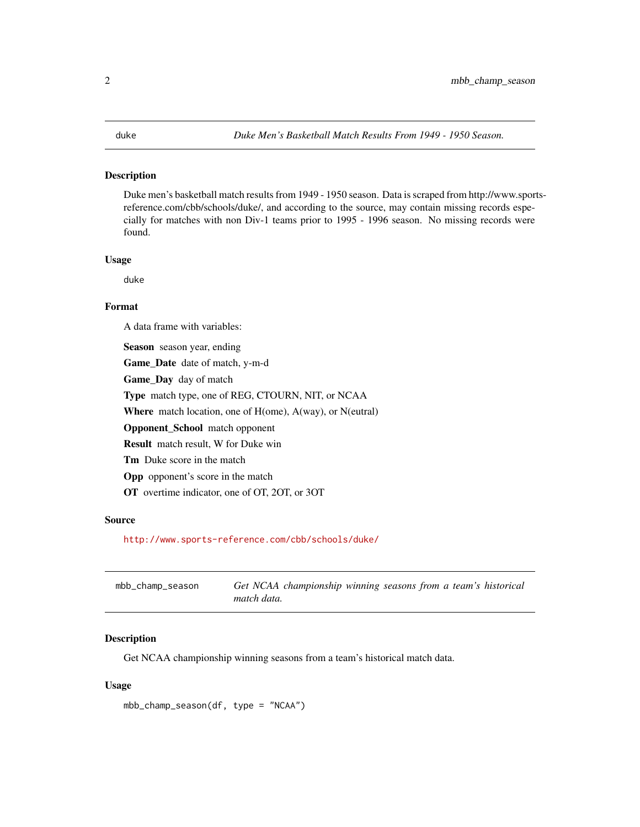#### <span id="page-1-0"></span>Description

Duke men's basketball match results from 1949 - 1950 season. Data is scraped from http://www.sportsreference.com/cbb/schools/duke/, and according to the source, may contain missing records especially for matches with non Div-1 teams prior to 1995 - 1996 season. No missing records were found.

#### Usage

duke

#### Format

A data frame with variables:

Season season year, ending Game\_Date date of match, y-m-d Game\_Day day of match Type match type, one of REG, CTOURN, NIT, or NCAA Where match location, one of H(ome), A(way), or N(eutral)

Opponent\_School match opponent

Result match result, W for Duke win

Tm Duke score in the match

Opp opponent's score in the match

OT overtime indicator, one of OT, 2OT, or 3OT

#### Source

<http://www.sports-reference.com/cbb/schools/duke/>

| mbb_champ_season |             | Get NCAA championship winning seasons from a team's historical |  |  |  |
|------------------|-------------|----------------------------------------------------------------|--|--|--|
|                  | match data. |                                                                |  |  |  |

#### Description

Get NCAA championship winning seasons from a team's historical match data.

#### Usage

mbb\_champ\_season(df, type = "NCAA")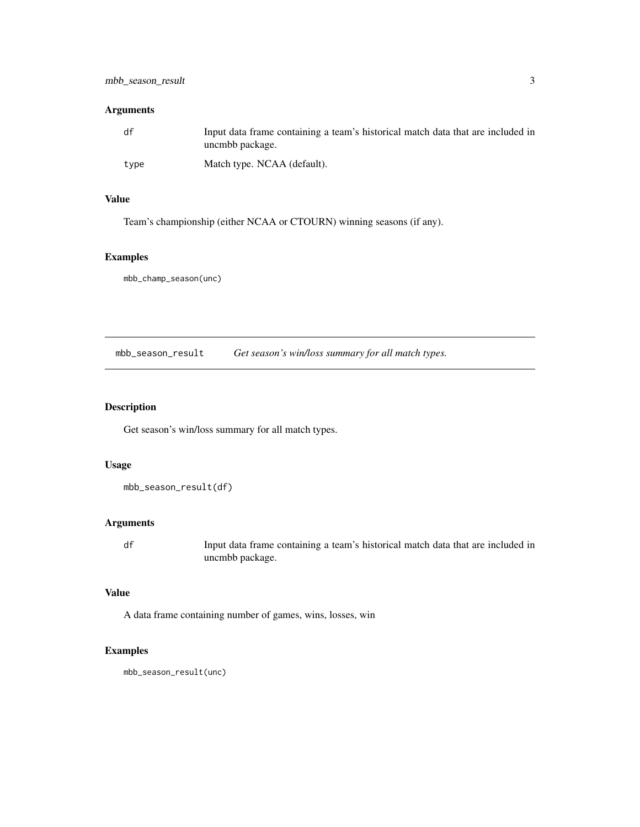#### <span id="page-2-0"></span>Arguments

| df   | Input data frame containing a team's historical match data that are included in<br>uncmbb package. |
|------|----------------------------------------------------------------------------------------------------|
| type | Match type. NCAA (default).                                                                        |

#### Value

Team's championship (either NCAA or CTOURN) winning seasons (if any).

### Examples

mbb\_champ\_season(unc)

mbb\_season\_result *Get season's win/loss summary for all match types.*

### Description

Get season's win/loss summary for all match types.

### Usage

```
mbb_season_result(df)
```
#### Arguments

df Input data frame containing a team's historical match data that are included in uncmbb package.

#### Value

A data frame containing number of games, wins, losses, win

#### Examples

mbb\_season\_result(unc)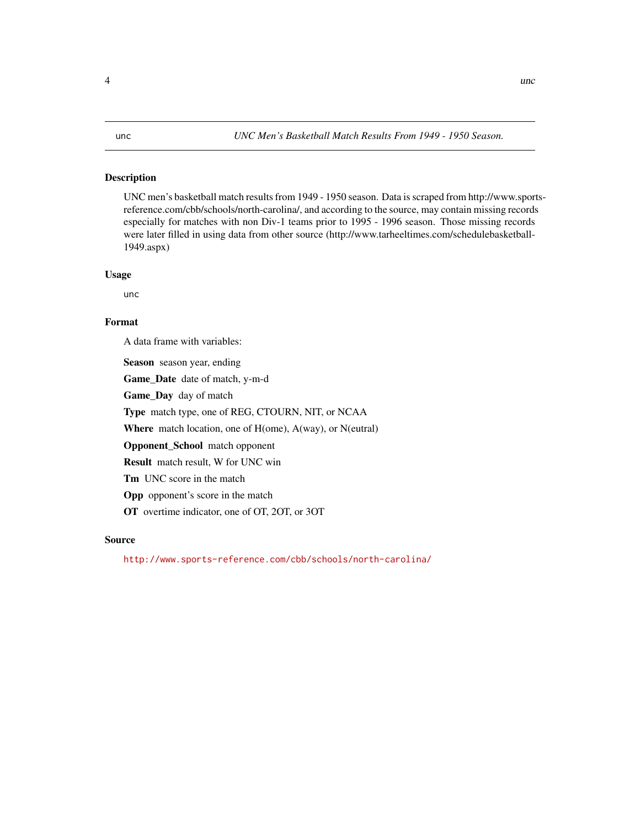### <span id="page-3-0"></span>Description

UNC men's basketball match results from 1949 - 1950 season. Data is scraped from http://www.sportsreference.com/cbb/schools/north-carolina/, and according to the source, may contain missing records especially for matches with non Div-1 teams prior to 1995 - 1996 season. Those missing records were later filled in using data from other source (http://www.tarheeltimes.com/schedulebasketball-1949.aspx)

#### Usage

unc

### Format

A data frame with variables:

Season season year, ending

Game\_Date date of match, y-m-d

Game\_Day day of match

Type match type, one of REG, CTOURN, NIT, or NCAA

Where match location, one of H(ome), A(way), or N(eutral)

Opponent\_School match opponent

Result match result, W for UNC win

Tm UNC score in the match

Opp opponent's score in the match

OT overtime indicator, one of OT, 2OT, or 3OT

### Source

<http://www.sports-reference.com/cbb/schools/north-carolina/>